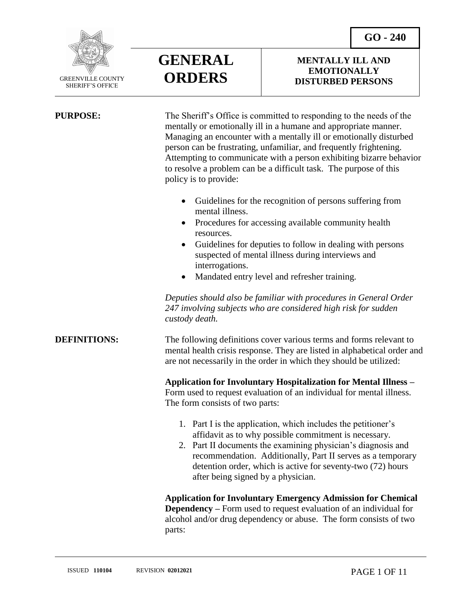**GO - 240**



SHERIFF'S OFFICE

 $\overline{a}$ 

## **GENERAL ORDERS**

#### **MENTALLY ILL AND EMOTIONALLY DISTURBED PERSONS**

| <b>PURPOSE:</b>     | The Sheriff's Office is committed to responding to the needs of the<br>mentally or emotionally ill in a humane and appropriate manner.<br>Managing an encounter with a mentally ill or emotionally disturbed<br>person can be frustrating, unfamiliar, and frequently frightening.<br>Attempting to communicate with a person exhibiting bizarre behavior<br>to resolve a problem can be a difficult task. The purpose of this<br>policy is to provide: |
|---------------------|---------------------------------------------------------------------------------------------------------------------------------------------------------------------------------------------------------------------------------------------------------------------------------------------------------------------------------------------------------------------------------------------------------------------------------------------------------|
|                     | Guidelines for the recognition of persons suffering from<br>$\bullet$<br>mental illness.<br>Procedures for accessing available community health<br>$\bullet$                                                                                                                                                                                                                                                                                            |
|                     | resources.<br>Guidelines for deputies to follow in dealing with persons<br>$\bullet$<br>suspected of mental illness during interviews and<br>interrogations.<br>Mandated entry level and refresher training.<br>$\bullet$                                                                                                                                                                                                                               |
|                     | Deputies should also be familiar with procedures in General Order<br>247 involving subjects who are considered high risk for sudden<br>custody death.                                                                                                                                                                                                                                                                                                   |
| <b>DEFINITIONS:</b> | The following definitions cover various terms and forms relevant to<br>mental health crisis response. They are listed in alphabetical order and<br>are not necessarily in the order in which they should be utilized:                                                                                                                                                                                                                                   |
|                     | <b>Application for Involuntary Hospitalization for Mental Illness -</b><br>Form used to request evaluation of an individual for mental illness.<br>The form consists of two parts:                                                                                                                                                                                                                                                                      |
|                     | 1. Part I is the application, which includes the petitioner's<br>affidavit as to why possible commitment is necessary.<br>2. Part II documents the examining physician's diagnosis and<br>recommendation. Additionally, Part II serves as a temporary<br>detention order, which is active for seventy-two (72) hours<br>after being signed by a physician.                                                                                              |
|                     | <b>Application for Involuntary Emergency Admission for Chemical</b><br><b>Dependency</b> – Form used to request evaluation of an individual for<br>alcohol and/or drug dependency or abuse. The form consists of two                                                                                                                                                                                                                                    |

parts: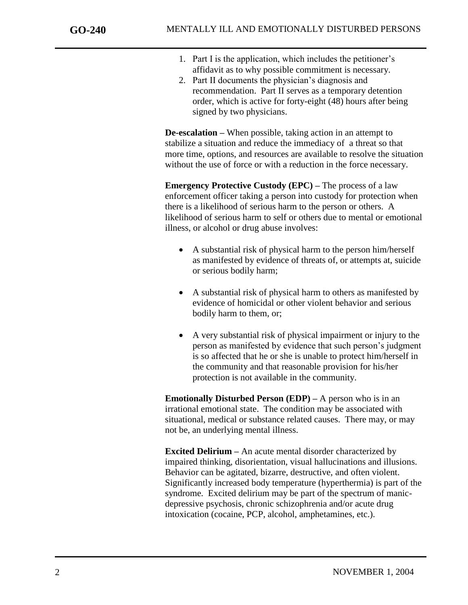- 1. Part I is the application, which includes the petitioner's affidavit as to why possible commitment is necessary.
- 2. Part II documents the physician's diagnosis and recommendation. Part II serves as a temporary detention order, which is active for forty-eight (48) hours after being signed by two physicians.

**De-escalation –** When possible, taking action in an attempt to stabilize a situation and reduce the immediacy of a threat so that more time, options, and resources are available to resolve the situation without the use of force or with a reduction in the force necessary.

**Emergency Protective Custody (EPC) –** The process of a law enforcement officer taking a person into custody for protection when there is a likelihood of serious harm to the person or others. A likelihood of serious harm to self or others due to mental or emotional illness, or alcohol or drug abuse involves:

- A substantial risk of physical harm to the person him/herself as manifested by evidence of threats of, or attempts at, suicide or serious bodily harm;
- A substantial risk of physical harm to others as manifested by evidence of homicidal or other violent behavior and serious bodily harm to them, or;
- A very substantial risk of physical impairment or injury to the person as manifested by evidence that such person's judgment is so affected that he or she is unable to protect him/herself in the community and that reasonable provision for his/her protection is not available in the community.

**Emotionally Disturbed Person (EDP) –** A person who is in an irrational emotional state. The condition may be associated with situational, medical or substance related causes. There may, or may not be, an underlying mental illness.

**Excited Delirium –** An acute mental disorder characterized by impaired thinking, disorientation, visual hallucinations and illusions. Behavior can be agitated, bizarre, destructive, and often violent. Significantly increased body temperature (hyperthermia) is part of the syndrome. Excited delirium may be part of the spectrum of manicdepressive psychosis, chronic schizophrenia and/or acute drug intoxication (cocaine, PCP, alcohol, amphetamines, etc.).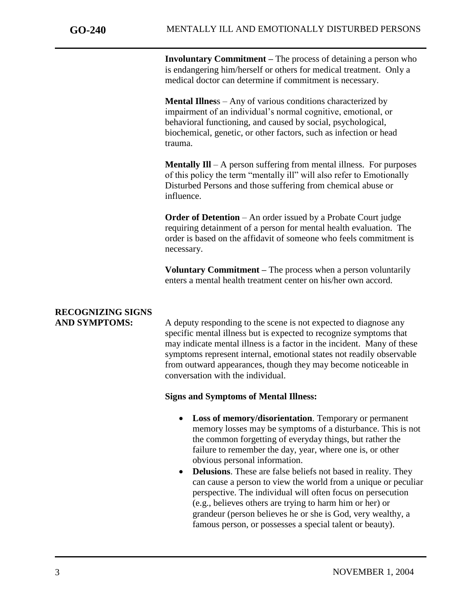**Involuntary Commitment –** The process of detaining a person who is endangering him/herself or others for medical treatment. Only a medical doctor can determine if commitment is necessary.

**Mental Illnes**s – Any of various conditions characterized by impairment of an individual's normal cognitive, emotional, or behavioral functioning, and caused by social, psychological, biochemical, genetic, or other factors, such as infection or head trauma.

**Mentally Ill** – A person suffering from mental illness. For purposes of this policy the term "mentally ill" will also refer to Emotionally Disturbed Persons and those suffering from chemical abuse or influence.

**Order of Detention** – An order issued by a Probate Court judge requiring detainment of a person for mental health evaluation. The order is based on the affidavit of someone who feels commitment is necessary.

**Voluntary Commitment –** The process when a person voluntarily enters a mental health treatment center on his/her own accord.

## **RECOGNIZING SIGNS**

AND SYMPTOMS: A deputy responding to the scene is not expected to diagnose any specific mental illness but is expected to recognize symptoms that may indicate mental illness is a factor in the incident. Many of these symptoms represent internal, emotional states not readily observable from outward appearances, though they may become noticeable in conversation with the individual.

#### **Signs and Symptoms of Mental Illness:**

- **Loss of memory/disorientation**. Temporary or permanent memory losses may be symptoms of a disturbance. This is not the common forgetting of everyday things, but rather the failure to remember the day, year, where one is, or other obvious personal information.
- **Delusions**. These are false beliefs not based in reality. They can cause a person to view the world from a unique or peculiar perspective. The individual will often focus on persecution (e.g., believes others are trying to harm him or her) or grandeur (person believes he or she is God, very wealthy, a famous person, or possesses a special talent or beauty).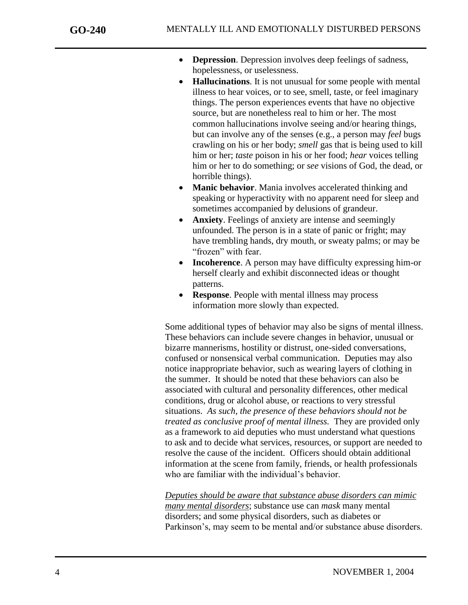- **Depression**. Depression involves deep feelings of sadness, hopelessness, or uselessness.
- **Hallucinations**. It is not unusual for some people with mental illness to hear voices, or to see, smell, taste, or feel imaginary things. The person experiences events that have no objective source, but are nonetheless real to him or her. The most common hallucinations involve seeing and/or hearing things, but can involve any of the senses (e.g., a person may *feel* bugs crawling on his or her body; *smell* gas that is being used to kill him or her; *taste* poison in his or her food; *hear* voices telling him or her to do something; or *see* visions of God, the dead, or horrible things).
- **Manic behavior**. Mania involves accelerated thinking and speaking or hyperactivity with no apparent need for sleep and sometimes accompanied by delusions of grandeur.
- **Anxiety**. Feelings of anxiety are intense and seemingly unfounded. The person is in a state of panic or fright; may have trembling hands, dry mouth, or sweaty palms; or may be "frozen" with fear.
- **Incoherence**. A person may have difficulty expressing him-or herself clearly and exhibit disconnected ideas or thought patterns.
- **Response.** People with mental illness may process information more slowly than expected.

Some additional types of behavior may also be signs of mental illness. These behaviors can include severe changes in behavior, unusual or bizarre mannerisms, hostility or distrust, one-sided conversations, confused or nonsensical verbal communication. Deputies may also notice inappropriate behavior, such as wearing layers of clothing in the summer. It should be noted that these behaviors can also be associated with cultural and personality differences, other medical conditions, drug or alcohol abuse, or reactions to very stressful situations. *As such, the presence of these behaviors should not be treated as conclusive proof of mental illness.* They are provided only as a framework to aid deputies who must understand what questions to ask and to decide what services, resources, or support are needed to resolve the cause of the incident. Officers should obtain additional information at the scene from family, friends, or health professionals who are familiar with the individual's behavior.

*Deputies should be aware that substance abuse disorders can mimic many mental disorders*; substance use can *mask* many mental disorders; and some physical disorders, such as diabetes or Parkinson's, may seem to be mental and/or substance abuse disorders.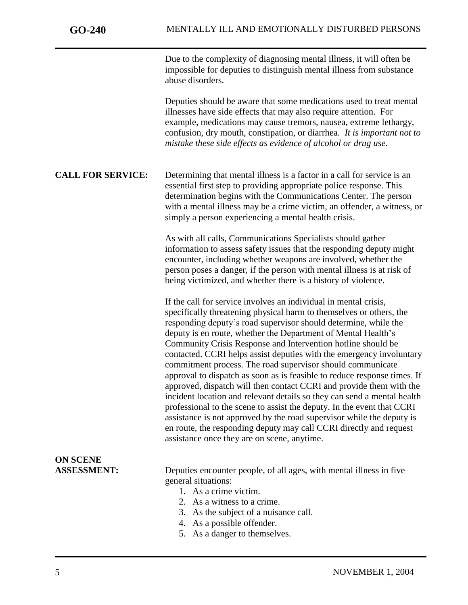Due to the complexity of diagnosing mental illness, it will often be impossible for deputies to distinguish mental illness from substance abuse disorders.

Deputies should be aware that some medications used to treat mental illnesses have side effects that may also require attention. For example, medications may cause tremors, nausea, extreme lethargy, confusion, dry mouth, constipation, or diarrhea. *It is important not to mistake these side effects as evidence of alcohol or drug use.*

**CALL FOR SERVICE:** Determining that mental illness is a factor in a call for service is an essential first step to providing appropriate police response. This determination begins with the Communications Center. The person with a mental illness may be a crime victim, an offender, a witness, or simply a person experiencing a mental health crisis.

> As with all calls, Communications Specialists should gather information to assess safety issues that the responding deputy might encounter, including whether weapons are involved, whether the person poses a danger, if the person with mental illness is at risk of being victimized, and whether there is a history of violence.

If the call for service involves an individual in mental crisis, specifically threatening physical harm to themselves or others, the responding deputy's road supervisor should determine, while the deputy is en route, whether the Department of Mental Health's Community Crisis Response and Intervention hotline should be contacted. CCRI helps assist deputies with the emergency involuntary approval to dispatch as soon as is feasible to reduce response times. If approved, dispatch will then contact CCRI and provide them with the incident location and relevant details so they can send a mental health professional to the scene to assist the deputy. In the event that CCRI assistance is not approved by the road supervisor while the deputy is en route, the responding deputy may call CCRI directly and request

# commitment process. The road supervisor should communicate assistance once they are on scene, anytime. **ON SCENE ASSESSMENT:** Deputies encounter people, of all ages, with mental illness in five general situations: 1. As a crime victim. 2. As a witness to a crime. 3. As the subject of a nuisance call. 4. As a possible offender.

5. As a danger to themselves.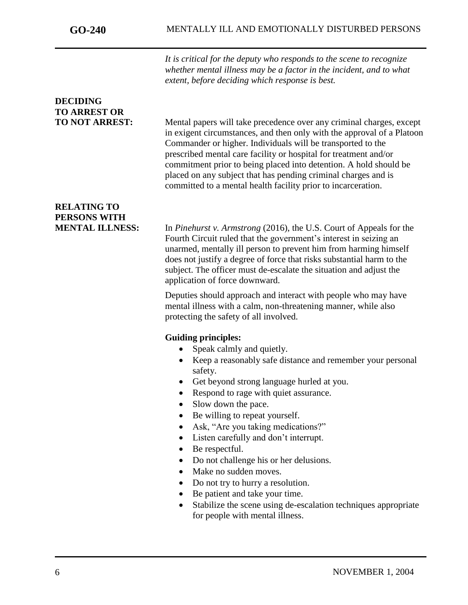*It is critical for the deputy who responds to the scene to recognize whether mental illness may be a factor in the incident, and to what extent, before deciding which response is best.*

### **DECIDING TO ARREST OR**

**TO NOT ARREST:** Mental papers will take precedence over any criminal charges, except in exigent circumstances, and then only with the approval of a Platoon Commander or higher. Individuals will be transported to the prescribed mental care facility or hospital for treatment and/or commitment prior to being placed into detention. A hold should be placed on any subject that has pending criminal charges and is committed to a mental health facility prior to incarceration.

### **RELATING TO PERSONS WITH**

**MENTAL ILLNESS:** In *Pinehurst v. Armstrong* (2016), the U.S. Court of Appeals for the Fourth Circuit ruled that the government's interest in seizing an unarmed, mentally ill person to prevent him from harming himself does not justify a degree of force that risks substantial harm to the subject. The officer must de-escalate the situation and adjust the application of force downward.

> Deputies should approach and interact with people who may have mental illness with a calm, non-threatening manner, while also protecting the safety of all involved.

#### **Guiding principles:**

- Speak calmly and quietly.
- Keep a reasonably safe distance and remember your personal safety.
- Get beyond strong language hurled at you.
- Respond to rage with quiet assurance.
- Slow down the pace.
- Be willing to repeat yourself.
- Ask, "Are you taking medications?"
- Listen carefully and don't interrupt.
- Be respectful.
- Do not challenge his or her delusions.
- Make no sudden moves.
- Do not try to hurry a resolution.
- Be patient and take your time.
- Stabilize the scene using de-escalation techniques appropriate for people with mental illness.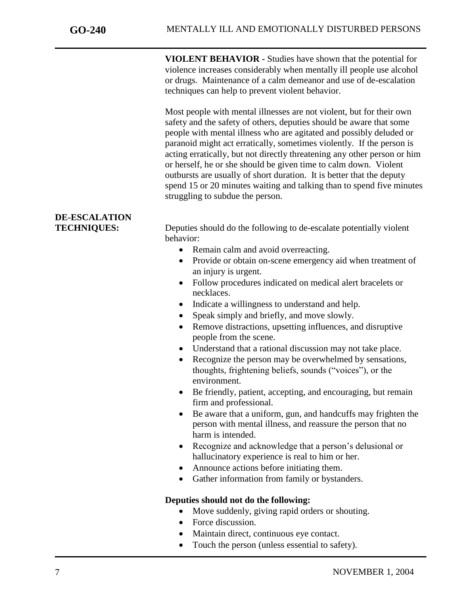**VIOLENT BEHAVIOR -** Studies have shown that the potential for violence increases considerably when mentally ill people use alcohol or drugs. Maintenance of a calm demeanor and use of de-escalation techniques can help to prevent violent behavior.

Most people with mental illnesses are not violent, but for their own safety and the safety of others, deputies should be aware that some people with mental illness who are agitated and possibly deluded or paranoid might act erratically, sometimes violently. If the person is acting erratically, but not directly threatening any other person or him or herself, he or she should be given time to calm down. Violent outbursts are usually of short duration. It is better that the deputy spend 15 or 20 minutes waiting and talking than to spend five minutes struggling to subdue the person.

## **DE-ESCALATION**

**TECHNIQUES:** Deputies should do the following to de-escalate potentially violent behavior:

- Remain calm and avoid overreacting.
- Provide or obtain on-scene emergency aid when treatment of an injury is urgent.
- Follow procedures indicated on medical alert bracelets or necklaces.
- Indicate a willingness to understand and help.
- Speak simply and briefly, and move slowly.
- Remove distractions, upsetting influences, and disruptive people from the scene.
- Understand that a rational discussion may not take place.
- Recognize the person may be overwhelmed by sensations, thoughts, frightening beliefs, sounds ("voices"), or the environment.
- Be friendly, patient, accepting, and encouraging, but remain firm and professional.
- Be aware that a uniform, gun, and handcuffs may frighten the person with mental illness, and reassure the person that no harm is intended.
- Recognize and acknowledge that a person's delusional or hallucinatory experience is real to him or her.
- Announce actions before initiating them.
- Gather information from family or bystanders.

#### **Deputies should not do the following:**

- Move suddenly, giving rapid orders or shouting.
- Force discussion.
- Maintain direct, continuous eye contact.
- Touch the person (unless essential to safety).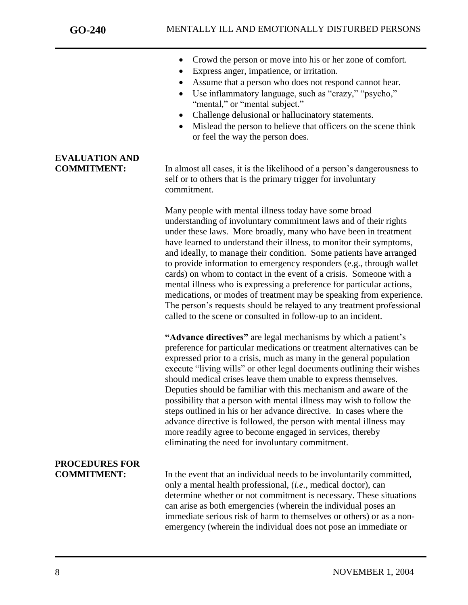**EVALUATION AND**

j

- Crowd the person or move into his or her zone of comfort.
- Express anger, impatience, or irritation.
- Assume that a person who does not respond cannot hear.
- Use inflammatory language, such as "crazy," "psycho," "mental," or "mental subject."
- Challenge delusional or hallucinatory statements.
- Mislead the person to believe that officers on the scene think or feel the way the person does.

**COMMITMENT:** In almost all cases, it is the likelihood of a person's dangerousness to self or to others that is the primary trigger for involuntary commitment.

> Many people with mental illness today have some broad understanding of involuntary commitment laws and of their rights under these laws. More broadly, many who have been in treatment have learned to understand their illness, to monitor their symptoms, and ideally, to manage their condition. Some patients have arranged to provide information to emergency responders (e.g., through wallet cards) on whom to contact in the event of a crisis. Someone with a mental illness who is expressing a preference for particular actions, medications, or modes of treatment may be speaking from experience. The person's requests should be relayed to any treatment professional called to the scene or consulted in follow-up to an incident.

> **"Advance directives"** are legal mechanisms by which a patient's preference for particular medications or treatment alternatives can be expressed prior to a crisis, much as many in the general population execute "living wills" or other legal documents outlining their wishes should medical crises leave them unable to express themselves. Deputies should be familiar with this mechanism and aware of the possibility that a person with mental illness may wish to follow the steps outlined in his or her advance directive. In cases where the advance directive is followed, the person with mental illness may more readily agree to become engaged in services, thereby eliminating the need for involuntary commitment.

# **PROCEDURES FOR**

**COMMITMENT:** In the event that an individual needs to be involuntarily committed, only a mental health professional, (*i.e.*, medical doctor), can determine whether or not commitment is necessary. These situations can arise as both emergencies (wherein the individual poses an immediate serious risk of harm to themselves or others) or as a nonemergency (wherein the individual does not pose an immediate or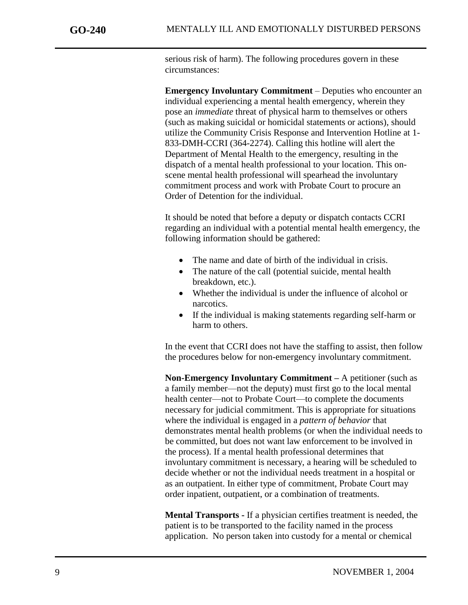serious risk of harm). The following procedures govern in these circumstances:

**Emergency Involuntary Commitment** – Deputies who encounter an individual experiencing a mental health emergency, wherein they pose an *immediate* threat of physical harm to themselves or others (such as making suicidal or homicidal statements or actions), should utilize the Community Crisis Response and Intervention Hotline at 1- 833-DMH-CCRI (364-2274). Calling this hotline will alert the Department of Mental Health to the emergency, resulting in the dispatch of a mental health professional to your location. This onscene mental health professional will spearhead the involuntary commitment process and work with Probate Court to procure an Order of Detention for the individual.

It should be noted that before a deputy or dispatch contacts CCRI regarding an individual with a potential mental health emergency, the following information should be gathered:

- The name and date of birth of the individual in crisis.
- The nature of the call (potential suicide, mental health breakdown, etc.).
- Whether the individual is under the influence of alcohol or narcotics.
- If the individual is making statements regarding self-harm or harm to others.

In the event that CCRI does not have the staffing to assist, then follow the procedures below for non-emergency involuntary commitment.

**Non-Emergency Involuntary Commitment –** A petitioner (such as a family member—not the deputy) must first go to the local mental health center—not to Probate Court—to complete the documents necessary for judicial commitment. This is appropriate for situations where the individual is engaged in a *pattern of behavior* that demonstrates mental health problems (or when the individual needs to be committed, but does not want law enforcement to be involved in the process). If a mental health professional determines that involuntary commitment is necessary, a hearing will be scheduled to decide whether or not the individual needs treatment in a hospital or as an outpatient. In either type of commitment, Probate Court may order inpatient, outpatient, or a combination of treatments.

**Mental Transports -** If a physician certifies treatment is needed, the patient is to be transported to the facility named in the process application. No person taken into custody for a mental or chemical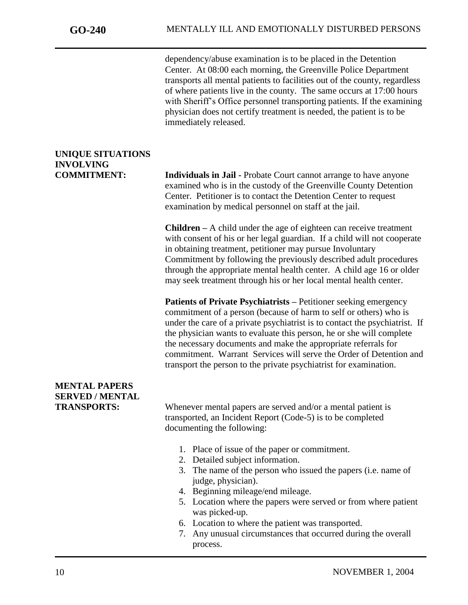dependency/abuse examination is to be placed in the Detention Center. At 08:00 each morning, the Greenville Police Department transports all mental patients to facilities out of the county, regardless of where patients live in the county. The same occurs at 17:00 hours with Sheriff's Office personnel transporting patients. If the examining physician does not certify treatment is needed, the patient is to be immediately released.

### **UNIQUE SITUATIONS INVOLVING**

**COMMITMENT: Individuals in Jail -** Probate Court cannot arrange to have anyone examined who is in the custody of the Greenville County Detention Center. Petitioner is to contact the Detention Center to request examination by medical personnel on staff at the jail.

> **Children –** A child under the age of eighteen can receive treatment with consent of his or her legal guardian. If a child will not cooperate in obtaining treatment, petitioner may pursue Involuntary Commitment by following the previously described adult procedures through the appropriate mental health center. A child age 16 or older may seek treatment through his or her local mental health center.

> **Patients of Private Psychiatrists –** Petitioner seeking emergency commitment of a person (because of harm to self or others) who is under the care of a private psychiatrist is to contact the psychiatrist. If the physician wants to evaluate this person, he or she will complete the necessary documents and make the appropriate referrals for commitment. Warrant Services will serve the Order of Detention and transport the person to the private psychiatrist for examination.

### **MENTAL PAPERS SERVED / MENTAL**

**TRANSPORTS:** Whenever mental papers are served and/or a mental patient is transported, an Incident Report (Code-5) is to be completed documenting the following:

- 1. Place of issue of the paper or commitment.
- 2. Detailed subject information.
- 3. The name of the person who issued the papers (i.e. name of judge, physician).
- 4. Beginning mileage/end mileage.
- 5. Location where the papers were served or from where patient was picked-up.
- 6. Location to where the patient was transported.
- 7. Any unusual circumstances that occurred during the overall process.